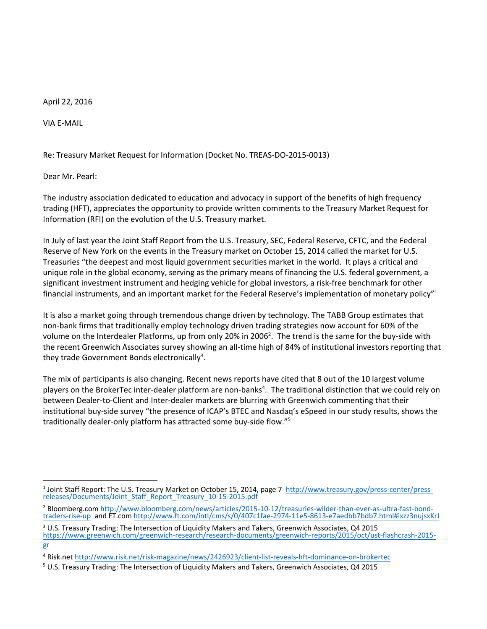April 22, 2016

VIA E-MAIL

Re: Treasury Market Request for Information (Docket No. TREAS-DO-2015-0013)

Dear Mr. Pearl:

The industry association dedicated to education and advocacy in support of the benefits of high frequency trading (HFT), appreciates the opportunity to provide written comments to the Treasury Market Request for Information (RFI) on the evolution of the U.S. Treasury market.

In July of last year the Joint Staff Report from the U.S. Treasury, SEC, Federal Reserve, CFTC, and the Federal Reserve of New York on the events in the Treasury market on October 15, 2014 called the market for U.S. Treasuries "the deepest and most liquid government securities market in the world. It plays a critical and unique role in the global economy, serving as the primary means of financing the U.S. federal government, a significant investment instrument and hedging vehicle for global investors, a risk-free benchmark for other financial instruments, and an important market for the Federal Reserve's implementation of monetary policy"<sup>1</sup>

It is also a market going through tremendous change driven by technology. The TABB Group estimates that non-bank firms that traditionally employ technology driven trading strategies now account for 60% of the volume on the Interdealer Platforms, up from only 20% in 2006<sup>2</sup>. The trend is the same for the buy-side with the recent Greenwich Associates survey showing an all-time high of 84% of institutional investors reporting that they trade Government Bonds electronically<sup>3</sup>.

The mix of participants is also changing. Recent news reports have cited that 8 out of the 10 largest volume players on the BrokerTec inter-dealer platform are non-banks<sup>4</sup>. The traditional distinction that we could rely on between Dealer-to-Client and Inter-dealer markets are blurring with Greenwich commenting that their institutional buy-side survey "the presence of ICAP's BTEC and Nasdaq's eSpeed in our study results, shows the traditionally dealer-only platform has attracted some buy-side flow."<sup>5</sup>

<sup>&</sup>lt;sup>1</sup> Joint Staff Report: The U.S. Treasury Market on October 15, 2014, page 7 [http://www.treasury.gov/press-center/press](http://www.treasury.gov/press-center/press-releases/Documents/Joint_Staff_Report_Treasury_10-15-2015.pdf)[releases/Documents/Joint\\_Staff\\_Report\\_Treasury\\_10-15-2015.pdf](http://www.treasury.gov/press-center/press-releases/Documents/Joint_Staff_Report_Treasury_10-15-2015.pdf) 

<sup>2</sup> Bloomberg.com [http://www.bloomberg.com/news/articles/2015-10-12/treasuries-wilder-than-ever-as-ultra-fast-bond](http://www.bloomberg.com/news/articles/2015-10-12/treasuries-wilder-than-ever-as-ultra-fast-bond-traders-rise-up)[traders-rise-up](http://www.bloomberg.com/news/articles/2015-10-12/treasuries-wilder-than-ever-as-ultra-fast-bond-traders-rise-up) and FT.com<http://www.ft.com/intl/cms/s/0/407c1fae-2974-11e5-8613-e7aedbb7bdb7.html#ixzz3nujsxKrJ>

 $3$  U.S. Treasury Trading: The Intersection of Liquidity Makers and Takers, Greenwich Associates, Q4 2015 [https://www.greenwich.com/greenwich-research/research-documents/greenwich-reports/2015/oct/ust-flashcrash-2015](https://www.greenwich.com/greenwich-research/research-documents/greenwich-reports/2015/oct/ust-flashcrash-2015-gr) [gr](https://www.greenwich.com/greenwich-research/research-documents/greenwich-reports/2015/oct/ust-flashcrash-2015-gr) 

<sup>4</sup> Risk.net<http://www.risk.net/risk-magazine/news/2426923/client-list-reveals-hft-dominance-on-brokertec>

<sup>5</sup> U.S. Treasury Trading: The Intersection of Liquidity Makers and Takers, Greenwich Associates, Q4 2015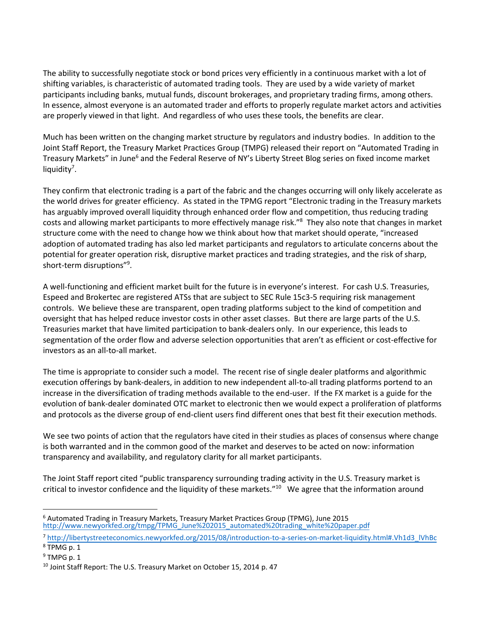The ability to successfully negotiate stock or bond prices very efficiently in a continuous market with a lot of shifting variables, is characteristic of automated trading tools. They are used by a wide variety of market participants including banks, mutual funds, discount brokerages, and proprietary trading firms, among others. In essence, almost everyone is an automated trader and efforts to properly regulate market actors and activities are properly viewed in that light. And regardless of who uses these tools, the benefits are clear.

Much has been written on the changing market structure by regulators and industry bodies. In addition to the Joint Staff Report, the Treasury Market Practices Group (TMPG) released their report on "Automated Trading in Treasury Markets" in June<sup>6</sup> and the Federal Reserve of NY's Liberty Street Blog series on fixed income market liquidity<sup>7</sup>.

They confirm that electronic trading is a part of the fabric and the changes occurring will only likely accelerate as the world drives for greater efficiency. As stated in the TPMG report "Electronic trading in the Treasury markets has arguably improved overall liquidity through enhanced order flow and competition, thus reducing trading costs and allowing market participants to more effectively manage risk."<sup>8</sup> They also note that changes in market structure come with the need to change how we think about how that market should operate, "increased adoption of automated trading has also led market participants and regulators to articulate concerns about the potential for greater operation risk, disruptive market practices and trading strategies, and the risk of sharp, short-term disruptions"<sup>9</sup> .

A well-functioning and efficient market built for the future is in everyone's interest. For cash U.S. Treasuries, Espeed and Brokertec are registered ATSs that are subject to SEC Rule 15c3-5 requiring risk management controls. We believe these are transparent, open trading platforms subject to the kind of competition and oversight that has helped reduce investor costs in other asset classes. But there are large parts of the U.S. Treasuries market that have limited participation to bank-dealers only. In our experience, this leads to segmentation of the order flow and adverse selection opportunities that aren't as efficient or cost-effective for investors as an all-to-all market.

The time is appropriate to consider such a model. The recent rise of single dealer platforms and algorithmic execution offerings by bank-dealers, in addition to new independent all-to-all trading platforms portend to an increase in the diversification of trading methods available to the end-user. If the FX market is a guide for the evolution of bank-dealer dominated OTC market to electronic then we would expect a proliferation of platforms and protocols as the diverse group of end-client users find different ones that best fit their execution methods.

We see two points of action that the regulators have cited in their studies as places of consensus where change is both warranted and in the common good of the market and deserves to be acted on now: information transparency and availability, and regulatory clarity for all market participants.

The Joint Staff report cited "public transparency surrounding trading activity in the U.S. Treasury market is critical to investor confidence and the liquidity of these markets."<sup>10</sup> We agree that the information around

<sup>6</sup> Automated Trading in Treasury Markets, Treasury Market Practices Group (TPMG), June 2015 [http://www.newyorkfed.org/tmpg/TPMG\\_June%202015\\_automated%20trading\\_white%20paper.pdf](http://www.newyorkfed.org/tmpg/TPMG_June%202015_automated%20trading_white%20paper.pdf) 

<sup>7</sup> [http://libertystreeteconomics.newyorkfed.org/2015/08/introduction-to-a-series-on-market-liquidity.html#.Vh1d3\\_lVhBc](http://libertystreeteconomics.newyorkfed.org/2015/08/introduction-to-a-series-on-market-liquidity.html#.Vh1d3_lVhBc)

<sup>8</sup> TPMG p. 1

 $9$  TMPG p. 1

<sup>&</sup>lt;sup>10</sup> Joint Staff Report: The U.S. Treasury Market on October 15, 2014 p. 47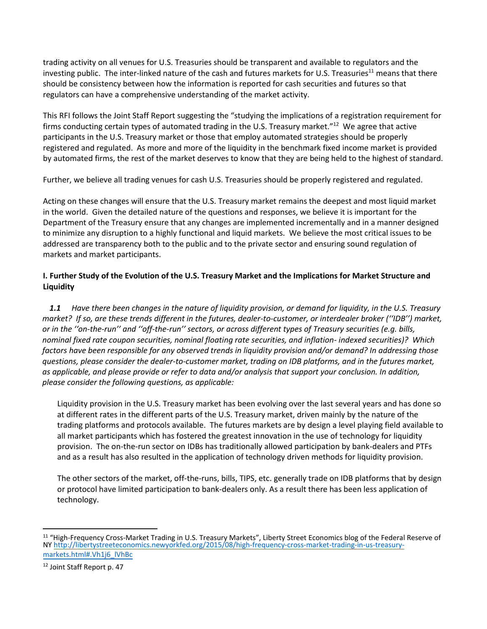trading activity on all venues for U.S. Treasuries should be transparent and available to regulators and the investing public. The inter-linked nature of the cash and futures markets for U.S. Treasuries<sup>11</sup> means that there should be consistency between how the information is reported for cash securities and futures so that regulators can have a comprehensive understanding of the market activity.

This RFI follows the Joint Staff Report suggesting the "studying the implications of a registration requirement for firms conducting certain types of automated trading in the U.S. Treasury market."<sup>12</sup> We agree that active participants in the U.S. Treasury market or those that employ automated strategies should be properly registered and regulated. As more and more of the liquidity in the benchmark fixed income market is provided by automated firms, the rest of the market deserves to know that they are being held to the highest of standard.

Further, we believe all trading venues for cash U.S. Treasuries should be properly registered and regulated.

Acting on these changes will ensure that the U.S. Treasury market remains the deepest and most liquid market in the world. Given the detailed nature of the questions and responses, we believe it is important for the Department of the Treasury ensure that any changes are implemented incrementally and in a manner designed to minimize any disruption to a highly functional and liquid markets. We believe the most critical issues to be addressed are transparency both to the public and to the private sector and ensuring sound regulation of markets and market participants.

# **I. Further Study of the Evolution of the U.S. Treasury Market and the Implications for Market Structure and Liquidity**

*1.1 Have there been changes in the nature of liquidity provision, or demand for liquidity, in the U.S. Treasury market? If so, are these trends different in the futures, dealer-to-customer, or interdealer broker (''IDB'') market, or in the ''on-the-run'' and ''off-the-run'' sectors, or across different types of Treasury securities (e.g. bills, nominal fixed rate coupon securities, nominal floating rate securities, and inflation- indexed securities)? Which factors have been responsible for any observed trends in liquidity provision and/or demand? In addressing those questions, please consider the dealer-to-customer market, trading on IDB platforms, and in the futures market, as applicable, and please provide or refer to data and/or analysis that support your conclusion. In addition, please consider the following questions, as applicable:* 

Liquidity provision in the U.S. Treasury market has been evolving over the last several years and has done so at different rates in the different parts of the U.S. Treasury market, driven mainly by the nature of the trading platforms and protocols available. The futures markets are by design a level playing field available to all market participants which has fostered the greatest innovation in the use of technology for liquidity provision. The on-the-run sector on IDBs has traditionally allowed participation by bank-dealers and PTFs and as a result has also resulted in the application of technology driven methods for liquidity provision.

The other sectors of the market, off-the-runs, bills, TIPS, etc. generally trade on IDB platforms that by design or protocol have limited participation to bank-dealers only. As a result there has been less application of technology.

<sup>&</sup>lt;sup>11</sup> "High-Frequency Cross-Market Trading in U.S. Treasury Markets", Liberty Street Economics blog of the Federal Reserve of N[Y http://libertystreeteconomics.newyorkfed.org/2015/08/high-frequency-cross-market-trading-in-us-treasury](http://libertystreeteconomics.newyorkfed.org/2015/08/high-frequency-cross-market-trading-in-us-treasury-markets.html#.Vh1j6_lVhBc)[markets.html#.Vh1j6\\_lVhBc](http://libertystreeteconomics.newyorkfed.org/2015/08/high-frequency-cross-market-trading-in-us-treasury-markets.html#.Vh1j6_lVhBc) 

<sup>12</sup> Joint Staff Report p. 47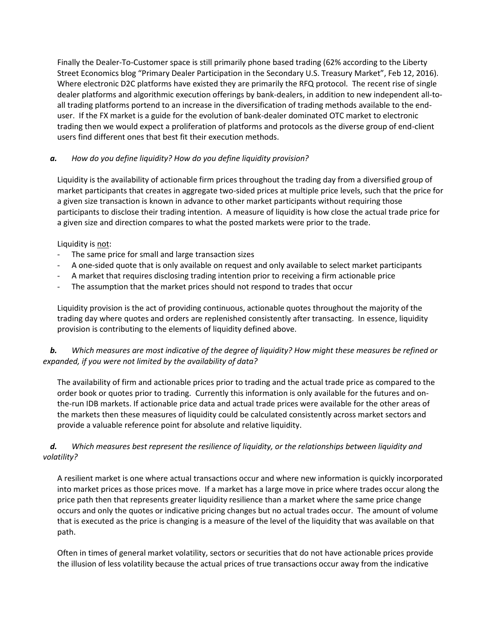Finally the Dealer-To-Customer space is still primarily phone based trading (62% according to the Liberty Street Economics blog "Primary Dealer Participation in the Secondary U.S. Treasury Market", Feb 12, 2016). Where electronic D2C platforms have existed they are primarily the RFQ protocol. The recent rise of single dealer platforms and algorithmic execution offerings by bank-dealers, in addition to new independent all-toall trading platforms portend to an increase in the diversification of trading methods available to the enduser. If the FX market is a guide for the evolution of bank-dealer dominated OTC market to electronic trading then we would expect a proliferation of platforms and protocols as the diverse group of end-client users find different ones that best fit their execution methods.

## *a. How do you define liquidity? How do you define liquidity provision?*

Liquidity is the availability of actionable firm prices throughout the trading day from a diversified group of market participants that creates in aggregate two-sided prices at multiple price levels, such that the price for a given size transaction is known in advance to other market participants without requiring those participants to disclose their trading intention. A measure of liquidity is how close the actual trade price for a given size and direction compares to what the posted markets were prior to the trade.

Liquidity is not:

- The same price for small and large transaction sizes
- A one-sided quote that is only available on request and only available to select market participants
- A market that requires disclosing trading intention prior to receiving a firm actionable price
- The assumption that the market prices should not respond to trades that occur

Liquidity provision is the act of providing continuous, actionable quotes throughout the majority of the trading day where quotes and orders are replenished consistently after transacting. In essence, liquidity provision is contributing to the elements of liquidity defined above.

## *b. Which measures are most indicative of the degree of liquidity? How might these measures be refined or expanded, if you were not limited by the availability of data?*

The availability of firm and actionable prices prior to trading and the actual trade price as compared to the order book or quotes prior to trading. Currently this information is only available for the futures and onthe-run IDB markets. If actionable price data and actual trade prices were available for the other areas of the markets then these measures of liquidity could be calculated consistently across market sectors and provide a valuable reference point for absolute and relative liquidity.

## *d. Which measures best represent the resilience of liquidity, or the relationships between liquidity and volatility?*

A resilient market is one where actual transactions occur and where new information is quickly incorporated into market prices as those prices move. If a market has a large move in price where trades occur along the price path then that represents greater liquidity resilience than a market where the same price change occurs and only the quotes or indicative pricing changes but no actual trades occur. The amount of volume that is executed as the price is changing is a measure of the level of the liquidity that was available on that path.

Often in times of general market volatility, sectors or securities that do not have actionable prices provide the illusion of less volatility because the actual prices of true transactions occur away from the indicative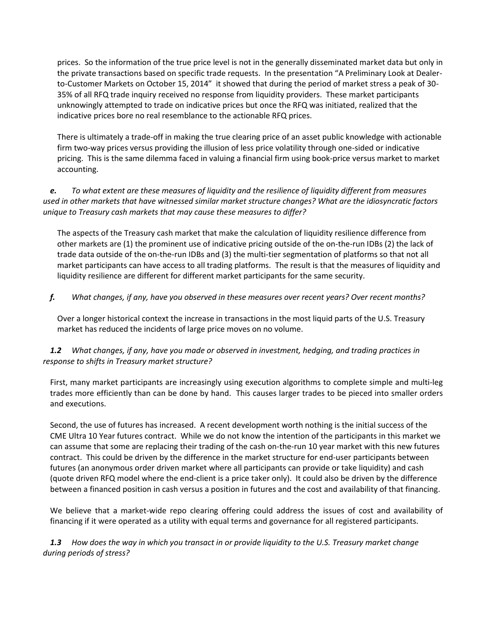prices. So the information of the true price level is not in the generally disseminated market data but only in the private transactions based on specific trade requests. In the presentation "A Preliminary Look at Dealerto-Customer Markets on October 15, 2014" it showed that during the period of market stress a peak of 30- 35% of all RFQ trade inquiry received no response from liquidity providers. These market participants unknowingly attempted to trade on indicative prices but once the RFQ was initiated, realized that the indicative prices bore no real resemblance to the actionable RFQ prices.

There is ultimately a trade-off in making the true clearing price of an asset public knowledge with actionable firm two-way prices versus providing the illusion of less price volatility through one-sided or indicative pricing. This is the same dilemma faced in valuing a financial firm using book-price versus market to market accounting.

*e. To what extent are these measures of liquidity and the resilience of liquidity different from measures used in other markets that have witnessed similar market structure changes? What are the idiosyncratic factors unique to Treasury cash markets that may cause these measures to differ?* 

The aspects of the Treasury cash market that make the calculation of liquidity resilience difference from other markets are (1) the prominent use of indicative pricing outside of the on-the-run IDBs (2) the lack of trade data outside of the on-the-run IDBs and (3) the multi-tier segmentation of platforms so that not all market participants can have access to all trading platforms. The result is that the measures of liquidity and liquidity resilience are different for different market participants for the same security.

*f. What changes, if any, have you observed in these measures over recent years? Over recent months?*

Over a longer historical context the increase in transactions in the most liquid parts of the U.S. Treasury market has reduced the incidents of large price moves on no volume.

*1.2 What changes, if any, have you made or observed in investment, hedging, and trading practices in response to shifts in Treasury market structure?* 

First, many market participants are increasingly using execution algorithms to complete simple and multi-leg trades more efficiently than can be done by hand. This causes larger trades to be pieced into smaller orders and executions.

Second, the use of futures has increased. A recent development worth nothing is the initial success of the CME Ultra 10 Year futures contract. While we do not know the intention of the participants in this market we can assume that some are replacing their trading of the cash on-the-run 10 year market with this new futures contract. This could be driven by the difference in the market structure for end-user participants between futures (an anonymous order driven market where all participants can provide or take liquidity) and cash (quote driven RFQ model where the end-client is a price taker only). It could also be driven by the difference between a financed position in cash versus a position in futures and the cost and availability of that financing.

We believe that a market-wide repo clearing offering could address the issues of cost and availability of financing if it were operated as a utility with equal terms and governance for all registered participants.

*1.3 How does the way in which you transact in or provide liquidity to the U.S. Treasury market change during periods of stress?*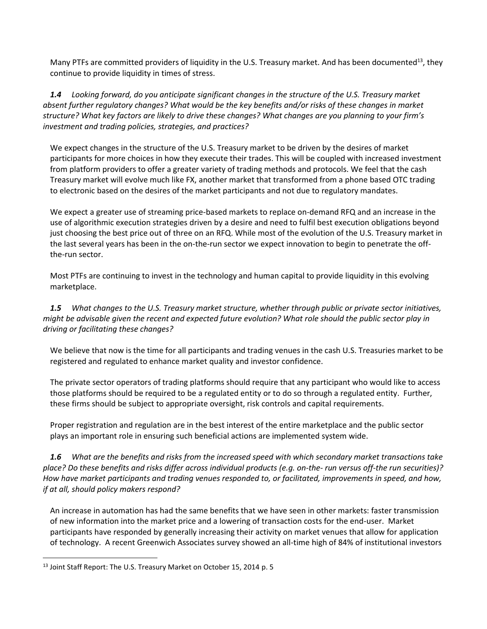Many PTFs are committed providers of liquidity in the U.S. Treasury market. And has been documented<sup>13</sup>, they continue to provide liquidity in times of stress.

*1.4 Looking forward, do you anticipate significant changes in the structure of the U.S. Treasury market absent further regulatory changes? What would be the key benefits and/or risks of these changes in market structure? What key factors are likely to drive these changes? What changes are you planning to your firm's investment and trading policies, strategies, and practices?* 

We expect changes in the structure of the U.S. Treasury market to be driven by the desires of market participants for more choices in how they execute their trades. This will be coupled with increased investment from platform providers to offer a greater variety of trading methods and protocols. We feel that the cash Treasury market will evolve much like FX, another market that transformed from a phone based OTC trading to electronic based on the desires of the market participants and not due to regulatory mandates.

We expect a greater use of streaming price-based markets to replace on-demand RFQ and an increase in the use of algorithmic execution strategies driven by a desire and need to fulfil best execution obligations beyond just choosing the best price out of three on an RFQ. While most of the evolution of the U.S. Treasury market in the last several years has been in the on-the-run sector we expect innovation to begin to penetrate the offthe-run sector.

Most PTFs are continuing to invest in the technology and human capital to provide liquidity in this evolving marketplace.

*1.5 What changes to the U.S. Treasury market structure, whether through public or private sector initiatives, might be advisable given the recent and expected future evolution? What role should the public sector play in driving or facilitating these changes?* 

We believe that now is the time for all participants and trading venues in the cash U.S. Treasuries market to be registered and regulated to enhance market quality and investor confidence.

The private sector operators of trading platforms should require that any participant who would like to access those platforms should be required to be a regulated entity or to do so through a regulated entity. Further, these firms should be subject to appropriate oversight, risk controls and capital requirements.

Proper registration and regulation are in the best interest of the entire marketplace and the public sector plays an important role in ensuring such beneficial actions are implemented system wide.

*1.6 What are the benefits and risks from the increased speed with which secondary market transactions take place? Do these benefits and risks differ across individual products (e.g. on-the- run versus off-the run securities)? How have market participants and trading venues responded to, or facilitated, improvements in speed, and how, if at all, should policy makers respond?* 

An increase in automation has had the same benefits that we have seen in other markets: faster transmission of new information into the market price and a lowering of transaction costs for the end-user. Market participants have responded by generally increasing their activity on market venues that allow for application of technology. A recent Greenwich Associates survey showed an all-time high of 84% of institutional investors

<sup>&</sup>lt;sup>13</sup> Joint Staff Report: The U.S. Treasury Market on October 15, 2014 p. 5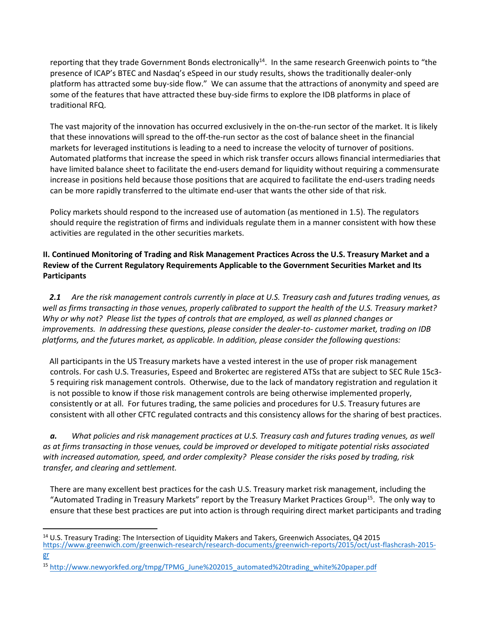reporting that they trade Government Bonds electronically<sup>14</sup>. In the same research Greenwich points to "the presence of ICAP's BTEC and Nasdaq's eSpeed in our study results, shows the traditionally dealer-only platform has attracted some buy-side flow." We can assume that the attractions of anonymity and speed are some of the features that have attracted these buy-side firms to explore the IDB platforms in place of traditional RFQ.

The vast majority of the innovation has occurred exclusively in the on-the-run sector of the market. It is likely that these innovations will spread to the off-the-run sector as the cost of balance sheet in the financial markets for leveraged institutions is leading to a need to increase the velocity of turnover of positions. Automated platforms that increase the speed in which risk transfer occurs allows financial intermediaries that have limited balance sheet to facilitate the end-users demand for liquidity without requiring a commensurate increase in positions held because those positions that are acquired to facilitate the end-users trading needs can be more rapidly transferred to the ultimate end-user that wants the other side of that risk.

Policy markets should respond to the increased use of automation (as mentioned in 1.5). The regulators should require the registration of firms and individuals regulate them in a manner consistent with how these activities are regulated in the other securities markets.

## **II. Continued Monitoring of Trading and Risk Management Practices Across the U.S. Treasury Market and a Review of the Current Regulatory Requirements Applicable to the Government Securities Market and Its Participants**

*2.1 Are the risk management controls currently in place at U.S. Treasury cash and futures trading venues, as well as firms transacting in those venues, properly calibrated to support the health of the U.S. Treasury market? Why or why not? Please list the types of controls that are employed, as well as planned changes or improvements. In addressing these questions, please consider the dealer-to- customer market, trading on IDB platforms, and the futures market, as applicable. In addition, please consider the following questions:* 

All participants in the US Treasury markets have a vested interest in the use of proper risk management controls. For cash U.S. Treasuries, Espeed and Brokertec are registered ATSs that are subject to SEC Rule 15c3- 5 requiring risk management controls. Otherwise, due to the lack of mandatory registration and regulation it is not possible to know if those risk management controls are being otherwise implemented properly, consistently or at all. For futures trading, the same policies and procedures for U.S. Treasury futures are consistent with all other CFTC regulated contracts and this consistency allows for the sharing of best practices.

*a. What policies and risk management practices at U.S. Treasury cash and futures trading venues, as well as at firms transacting in those venues, could be improved or developed to mitigate potential risks associated with increased automation, speed, and order complexity? Please consider the risks posed by trading, risk transfer, and clearing and settlement.* 

There are many excellent best practices for the cash U.S. Treasury market risk management, including the "Automated Trading in Treasury Markets" report by the Treasury Market Practices Group<sup>15</sup>. The only way to ensure that these best practices are put into action is through requiring direct market participants and trading

[gr](https://www.greenwich.com/greenwich-research/research-documents/greenwich-reports/2015/oct/ust-flashcrash-2015-gr) 

<sup>&</sup>lt;sup>14</sup> U.S. Treasury Trading: The Intersection of Liquidity Makers and Takers, Greenwich Associates, Q4 2015 [https://www.greenwich.com/greenwich-research/research-documents/greenwich-reports/2015/oct/ust-flashcrash-2015-](https://www.greenwich.com/greenwich-research/research-documents/greenwich-reports/2015/oct/ust-flashcrash-2015-gr)

<sup>15</sup> [http://www.newyorkfed.org/tmpg/TPMG\\_June%202015\\_automated%20trading\\_white%20paper.pdf](http://www.newyorkfed.org/tmpg/TPMG_June%202015_automated%20trading_white%20paper.pdf)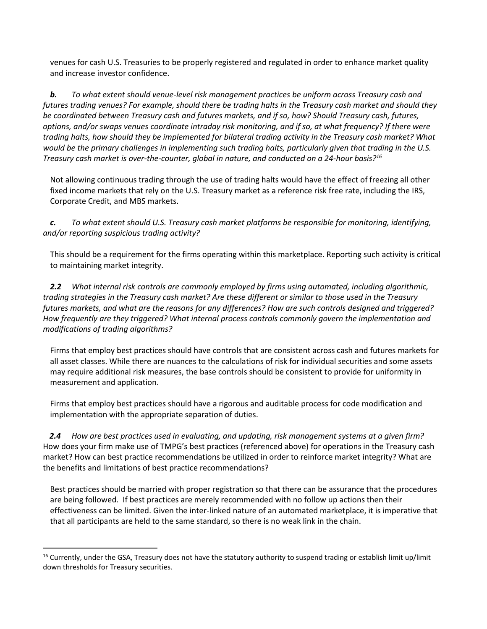venues for cash U.S. Treasuries to be properly registered and regulated in order to enhance market quality and increase investor confidence.

*b. To what extent should venue-level risk management practices be uniform across Treasury cash and futures trading venues? For example, should there be trading halts in the Treasury cash market and should they be coordinated between Treasury cash and futures markets, and if so, how? Should Treasury cash, futures, options, and/or swaps venues coordinate intraday risk monitoring, and if so, at what frequency? If there were trading halts, how should they be implemented for bilateral trading activity in the Treasury cash market? What would be the primary challenges in implementing such trading halts, particularly given that trading in the U.S. Treasury cash market is over-the-counter, global in nature, and conducted on a 24-hour basis?<sup>16</sup>* 

Not allowing continuous trading through the use of trading halts would have the effect of freezing all other fixed income markets that rely on the U.S. Treasury market as a reference risk free rate, including the IRS, Corporate Credit, and MBS markets.

*c. To what extent should U.S. Treasury cash market platforms be responsible for monitoring, identifying, and/or reporting suspicious trading activity?* 

This should be a requirement for the firms operating within this marketplace. Reporting such activity is critical to maintaining market integrity.

*2.2 What internal risk controls are commonly employed by firms using automated, including algorithmic, trading strategies in the Treasury cash market? Are these different or similar to those used in the Treasury futures markets, and what are the reasons for any differences? How are such controls designed and triggered? How frequently are they triggered? What internal process controls commonly govern the implementation and modifications of trading algorithms?* 

Firms that employ best practices should have controls that are consistent across cash and futures markets for all asset classes. While there are nuances to the calculations of risk for individual securities and some assets may require additional risk measures, the base controls should be consistent to provide for uniformity in measurement and application.

Firms that employ best practices should have a rigorous and auditable process for code modification and implementation with the appropriate separation of duties.

*2.4 How are best practices used in evaluating, and updating, risk management systems at a given firm?*  How does your firm make use of TMPG's best practices (referenced above) for operations in the Treasury cash market? How can best practice recommendations be utilized in order to reinforce market integrity? What are the benefits and limitations of best practice recommendations?

Best practices should be married with proper registration so that there can be assurance that the procedures are being followed. If best practices are merely recommended with no follow up actions then their effectiveness can be limited. Given the inter-linked nature of an automated marketplace, it is imperative that that all participants are held to the same standard, so there is no weak link in the chain.

<sup>&</sup>lt;sup>16</sup> Currently, under the GSA, Treasury does not have the statutory authority to suspend trading or establish limit up/limit down thresholds for Treasury securities.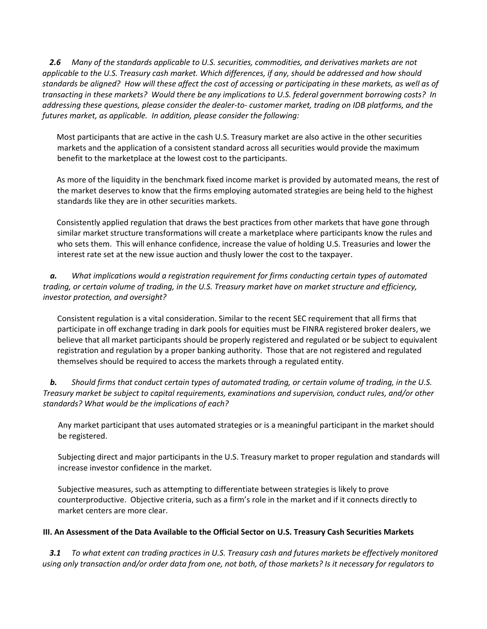*2.6 Many of the standards applicable to U.S. securities, commodities, and derivatives markets are not applicable to the U.S. Treasury cash market. Which differences, if any, should be addressed and how should standards be aligned? How will these affect the cost of accessing or participating in these markets, as well as of transacting in these markets? Would there be any implications to U.S. federal government borrowing costs? In addressing these questions, please consider the dealer-to- customer market, trading on IDB platforms, and the futures market, as applicable. In addition, please consider the following:* 

Most participants that are active in the cash U.S. Treasury market are also active in the other securities markets and the application of a consistent standard across all securities would provide the maximum benefit to the marketplace at the lowest cost to the participants.

As more of the liquidity in the benchmark fixed income market is provided by automated means, the rest of the market deserves to know that the firms employing automated strategies are being held to the highest standards like they are in other securities markets.

Consistently applied regulation that draws the best practices from other markets that have gone through similar market structure transformations will create a marketplace where participants know the rules and who sets them. This will enhance confidence, increase the value of holding U.S. Treasuries and lower the interest rate set at the new issue auction and thusly lower the cost to the taxpayer.

*a. What implications would a registration requirement for firms conducting certain types of automated trading, or certain volume of trading, in the U.S. Treasury market have on market structure and efficiency, investor protection, and oversight?* 

Consistent regulation is a vital consideration. Similar to the recent SEC requirement that all firms that participate in off exchange trading in dark pools for equities must be FINRA registered broker dealers, we believe that all market participants should be properly registered and regulated or be subject to equivalent registration and regulation by a proper banking authority. Those that are not registered and regulated themselves should be required to access the markets through a regulated entity.

*b. Should firms that conduct certain types of automated trading, or certain volume of trading, in the U.S. Treasury market be subject to capital requirements, examinations and supervision, conduct rules, and/or other standards? What would be the implications of each?* 

Any market participant that uses automated strategies or is a meaningful participant in the market should be registered.

Subjecting direct and major participants in the U.S. Treasury market to proper regulation and standards will increase investor confidence in the market.

Subjective measures, such as attempting to differentiate between strategies is likely to prove counterproductive. Objective criteria, such as a firm's role in the market and if it connects directly to market centers are more clear.

#### **III. An Assessment of the Data Available to the Official Sector on U.S. Treasury Cash Securities Markets**

*3.1 To what extent can trading practices in U.S. Treasury cash and futures markets be effectively monitored using only transaction and/or order data from one, not both, of those markets? Is it necessary for regulators to*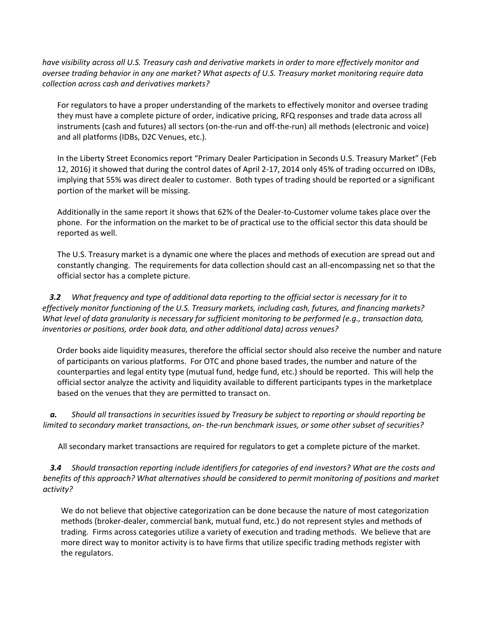*have visibility across all U.S. Treasury cash and derivative markets in order to more effectively monitor and oversee trading behavior in any one market? What aspects of U.S. Treasury market monitoring require data collection across cash and derivatives markets?* 

For regulators to have a proper understanding of the markets to effectively monitor and oversee trading they must have a complete picture of order, indicative pricing, RFQ responses and trade data across all instruments (cash and futures) all sectors (on-the-run and off-the-run) all methods (electronic and voice) and all platforms (IDBs, D2C Venues, etc.).

In the Liberty Street Economics report "Primary Dealer Participation in Seconds U.S. Treasury Market" (Feb 12, 2016) it showed that during the control dates of April 2-17, 2014 only 45% of trading occurred on IDBs, implying that 55% was direct dealer to customer. Both types of trading should be reported or a significant portion of the market will be missing.

Additionally in the same report it shows that 62% of the Dealer-to-Customer volume takes place over the phone. For the information on the market to be of practical use to the official sector this data should be reported as well.

The U.S. Treasury market is a dynamic one where the places and methods of execution are spread out and constantly changing. The requirements for data collection should cast an all-encompassing net so that the official sector has a complete picture.

*3.2 What frequency and type of additional data reporting to the official sector is necessary for it to effectively monitor functioning of the U.S. Treasury markets, including cash, futures, and financing markets? What level of data granularity is necessary for sufficient monitoring to be performed (e.g., transaction data, inventories or positions, order book data, and other additional data) across venues?* 

Order books aide liquidity measures, therefore the official sector should also receive the number and nature of participants on various platforms. For OTC and phone based trades, the number and nature of the counterparties and legal entity type (mutual fund, hedge fund, etc.) should be reported. This will help the official sector analyze the activity and liquidity available to different participants types in the marketplace based on the venues that they are permitted to transact on.

*a. Should all transactions in securities issued by Treasury be subject to reporting or should reporting be limited to secondary market transactions, on- the-run benchmark issues, or some other subset of securities?* 

All secondary market transactions are required for regulators to get a complete picture of the market.

*3.4 Should transaction reporting include identifiers for categories of end investors? What are the costs and benefits of this approach? What alternatives should be considered to permit monitoring of positions and market activity?* 

We do not believe that objective categorization can be done because the nature of most categorization methods (broker-dealer, commercial bank, mutual fund, etc.) do not represent styles and methods of trading. Firms across categories utilize a variety of execution and trading methods. We believe that are more direct way to monitor activity is to have firms that utilize specific trading methods register with the regulators.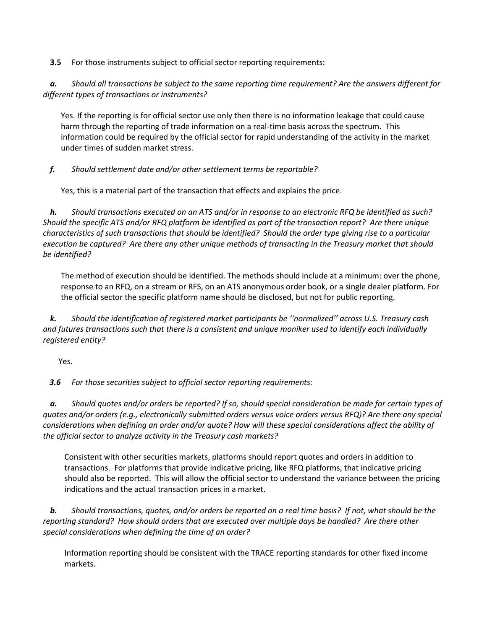**3.5** For those instruments subject to official sector reporting requirements:

*a. Should all transactions be subject to the same reporting time requirement? Are the answers different for different types of transactions or instruments?* 

Yes. If the reporting is for official sector use only then there is no information leakage that could cause harm through the reporting of trade information on a real-time basis across the spectrum. This information could be required by the official sector for rapid understanding of the activity in the market under times of sudden market stress.

## *f. Should settlement date and/or other settlement terms be reportable?*

Yes, this is a material part of the transaction that effects and explains the price.

*h. Should transactions executed on an ATS and/or in response to an electronic RFQ be identified as such? Should the specific ATS and/or RFQ platform be identified as part of the transaction report? Are there unique characteristics of such transactions that should be identified? Should the order type giving rise to a particular execution be captured? Are there any other unique methods of transacting in the Treasury market that should be identified?* 

The method of execution should be identified. The methods should include at a minimum: over the phone, response to an RFQ, on a stream or RFS, on an ATS anonymous order book, or a single dealer platform. For the official sector the specific platform name should be disclosed, but not for public reporting.

*k. Should the identification of registered market participants be ''normalized'' across U.S. Treasury cash and futures transactions such that there is a consistent and unique moniker used to identify each individually registered entity?* 

Yes.

*3.6 For those securities subject to official sector reporting requirements:* 

*a. Should quotes and/or orders be reported? If so, should special consideration be made for certain types of quotes and/or orders (e.g., electronically submitted orders versus voice orders versus RFQ)? Are there any special considerations when defining an order and/or quote? How will these special considerations affect the ability of the official sector to analyze activity in the Treasury cash markets?* 

Consistent with other securities markets, platforms should report quotes and orders in addition to transactions. For platforms that provide indicative pricing, like RFQ platforms, that indicative pricing should also be reported. This will allow the official sector to understand the variance between the pricing indications and the actual transaction prices in a market.

*b. Should transactions, quotes, and/or orders be reported on a real time basis? If not, what should be the reporting standard? How should orders that are executed over multiple days be handled? Are there other special considerations when defining the time of an order?* 

Information reporting should be consistent with the TRACE reporting standards for other fixed income markets.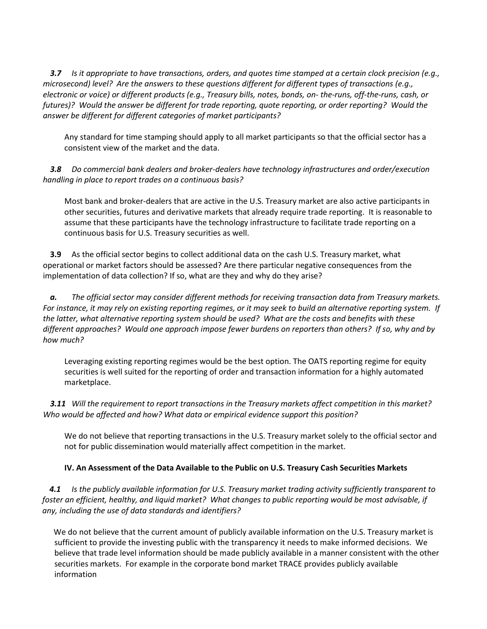*3.7 Is it appropriate to have transactions, orders, and quotes time stamped at a certain clock precision (e.g., microsecond) level? Are the answers to these questions different for different types of transactions (e.g., electronic or voice) or different products (e.g., Treasury bills, notes, bonds, on- the-runs, off-the-runs, cash, or futures)? Would the answer be different for trade reporting, quote reporting, or order reporting? Would the answer be different for different categories of market participants?* 

Any standard for time stamping should apply to all market participants so that the official sector has a consistent view of the market and the data.

*3.8 Do commercial bank dealers and broker-dealers have technology infrastructures and order/execution handling in place to report trades on a continuous basis?* 

Most bank and broker-dealers that are active in the U.S. Treasury market are also active participants in other securities, futures and derivative markets that already require trade reporting. It is reasonable to assume that these participants have the technology infrastructure to facilitate trade reporting on a continuous basis for U.S. Treasury securities as well.

**3.9** As the official sector begins to collect additional data on the cash U.S. Treasury market, what operational or market factors should be assessed? Are there particular negative consequences from the implementation of data collection? If so, what are they and why do they arise?

*a. The official sector may consider different methods for receiving transaction data from Treasury markets. For instance, it may rely on existing reporting regimes, or it may seek to build an alternative reporting system. If the latter, what alternative reporting system should be used? What are the costs and benefits with these different approaches? Would one approach impose fewer burdens on reporters than others? If so, why and by how much?* 

Leveraging existing reporting regimes would be the best option. The OATS reporting regime for equity securities is well suited for the reporting of order and transaction information for a highly automated marketplace.

*3.11 Will the requirement to report transactions in the Treasury markets affect competition in this market? Who would be affected and how? What data or empirical evidence support this position?* 

We do not believe that reporting transactions in the U.S. Treasury market solely to the official sector and not for public dissemination would materially affect competition in the market.

## **IV. An Assessment of the Data Available to the Public on U.S. Treasury Cash Securities Markets**

*4.1 Is the publicly available information for U.S. Treasury market trading activity sufficiently transparent to foster an efficient, healthy, and liquid market? What changes to public reporting would be most advisable, if any, including the use of data standards and identifiers?* 

We do not believe that the current amount of publicly available information on the U.S. Treasury market is sufficient to provide the investing public with the transparency it needs to make informed decisions. We believe that trade level information should be made publicly available in a manner consistent with the other securities markets. For example in the corporate bond market TRACE provides publicly available information